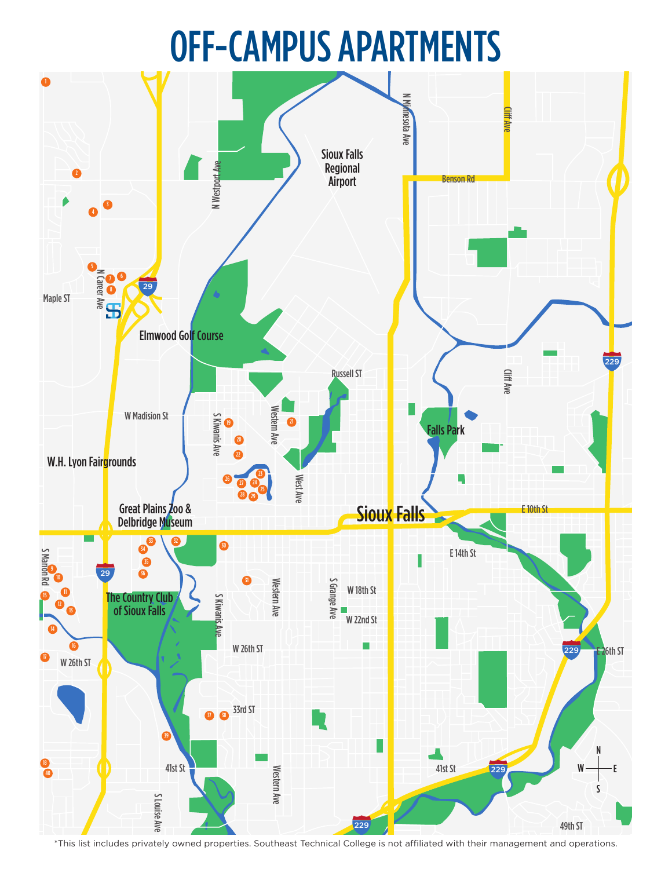## OFF-CAMPUS APARTMENTS



\*This list includes privately owned properties. Southeast Technical College is not affiliated with their management and operations.